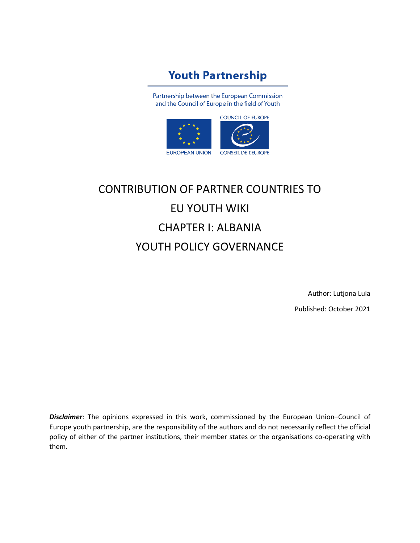## **Youth Partnership**

Partnership between the European Commission and the Council of Europe in the field of Youth



# CONTRIBUTION OF PARTNER COUNTRIES TO EU YOUTH WIKI CHAPTER I: ALBANIA YOUTH POLICY GOVERNANCE

Author: Lutjona Lula Published: October 2021

*Disclaimer*: The opinions expressed in this work, commissioned by the European Union–Council of Europe youth partnership, are the responsibility of the authors and do not necessarily reflect the official policy of either of the partner institutions, their member states or the organisations co-operating with them.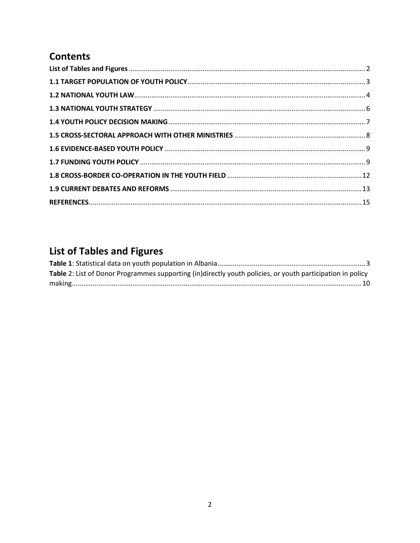#### **Contents**

## <span id="page-1-0"></span>**List of Tables and Figures**

| Table 2: List of Donor Programmes supporting (in)directly youth policies, or youth participation in policy |  |
|------------------------------------------------------------------------------------------------------------|--|
|                                                                                                            |  |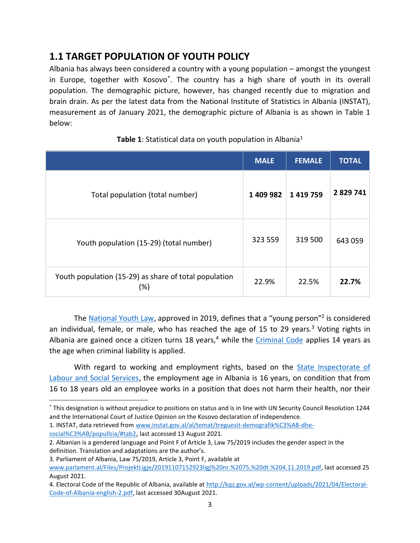#### <span id="page-2-0"></span>**1.1 TARGET POPULATION OF YOUTH POLICY**

Albania has always been considered a country with a young population – amongst the youngest in Europe, together with Kosovo\* . The country has a high share of youth in its overall population. The demographic picture, however, has changed recently due to migration and brain drain. As per the latest data from the National Institute of Statistics in Albania (INSTAT), measurement as of January 2021, the demographic picture of Albania is as shown in Table 1 below:

<span id="page-2-1"></span>

|                                                                 | <b>MALE</b> | <b>FEMALE</b> | <b>TOTAL</b> |
|-----------------------------------------------------------------|-------------|---------------|--------------|
| Total population (total number)                                 | 1 409 982   | 1419759       | 2 8 29 7 41  |
| Youth population (15-29) (total number)                         | 323 559     | 319 500       | 643 059      |
| Youth population (15-29) as share of total population<br>$(\%)$ | 22.9%       | 22.5%         | 22.7%        |

#### **Table 1**: Statistical data on youth population in Albania<sup>1</sup>

The [National Youth Law,](https://www.parlament.al/Files/ProjektLigje/20191107152923ligj%20nr.%2075,%20dt.%204.11.2019.pdf) approved in 2019, defines that a "young person"<sup>2</sup> is considered an individual, female, or male, who has reached the age of 15 to 29 years*.* <sup>3</sup> Voting rights in Albania are gained once a citizen turns 18 years, $4$  while the [Criminal Code](https://drejtesia.gov.al/wp-content/uploads/2017/11/Kodi_Penal-1.pdf) applies 14 years as the age when criminal liability is applied.

With regard to working and employment rights, based on the State Inspectorate of [Labour and Social Services,](https://inspektoriatipunes.gov.al/en/punemarres-nen-18-vjec/) the employment age in Albania is 16 years, on condition that from 16 to 18 years old an employee works in a position that does not harm their health, nor their

1. INSTAT, data retrieved from [www.instat.gov.al/al/temat/treguesit-demografik%C3%AB-dhe-](http://www.instat.gov.al/al/temat/treguesit-demografik%C3%AB-dhe-social%C3%AB/popullsia/#tab2)

[social%C3%AB/popullsia/#tab2](http://www.instat.gov.al/al/temat/treguesit-demografik%C3%AB-dhe-social%C3%AB/popullsia/#tab2), last accessed 13 August 2021.

<sup>\*</sup> This designation is without prejudice to positions on status and is in line with UN Security Council Resolution 1244 and the International Court of Justice Opinion on the Kosovo declaration of independence.

<sup>2.</sup> Albanian is a gendered language and Point F of Article 3, Law 75/2019 includes the gender aspect in the definition. Translation and adaptations are the author's.

<sup>3.</sup> Parliament of Albania, Law 75/2019, Article 3, Point F, available at

[www.parlament.al/Files/ProjektLigje/20191107152923ligj%20nr.%2075,%20dt.%204.11.2019.pdf,](http://www.parlament.al/Files/ProjektLigje/20191107152923ligj%20nr.%2075,%20dt.%204.11.2019.pdf) last accessed 25 August 2021.

<sup>4.</sup> Electoral Code of the Republic of Albania, available at [http://kqz.gov.al/wp-content/uploads/2021/04/Electoral-](http://kqz.gov.al/wp-content/uploads/2021/04/Electoral-Code-of-Albania-english-2.pdf)[Code-of-Albania-english-2.pdf,](http://kqz.gov.al/wp-content/uploads/2021/04/Electoral-Code-of-Albania-english-2.pdf) last accessed 30August 2021.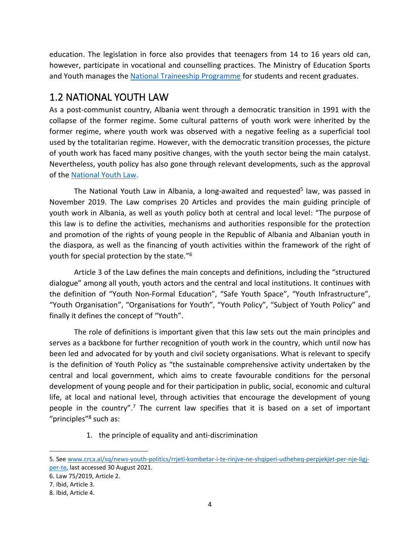education. The legislation in force also provides that teenagers from 14 to 16 years old can, however, participate in vocational and counselling practices. The Ministry of Education Sports and Youth manages the [National Traineeship Programme](https://praktika.arsimi.gov.al/) for students and recent graduates.

#### <span id="page-3-0"></span>1.2 NATIONAL YOUTH LAW

As a post-communist country, Albania went through a democratic transition in 1991 with the collapse of the former regime. Some cultural patterns of youth work were inherited by the former regime, where youth work was observed with a negative feeling as a superficial tool used by the totalitarian regime. However, with the democratic transition processes, the picture of youth work has faced many positive changes, with the youth sector being the main catalyst. Nevertheless, youth policy has also gone through relevant developments, such as the approval of th[e National Youth Law.](https://www.parlament.al/Files/ProjektLigje/20191107152923ligj%20nr.%2075,%20dt.%204.11.2019.pdf)

The National Youth Law in Albania, a long-awaited and requested<sup>5</sup> law, was passed in November 2019. The Law comprises 20 Articles and provides the main guiding principle of youth work in Albania, as well as youth policy both at central and local level: "The purpose of this law is to define the activities, mechanisms and authorities responsible for the protection and promotion of the rights of young people in the Republic of Albania and Albanian youth in the diaspora, as well as the financing of youth activities within the framework of the right of youth for special protection by the state."<sup>6</sup>

Article 3 of the Law defines the main concepts and definitions, including the "structured dialogue" among all youth, youth actors and the central and local institutions. It continues with the definition of "Youth Non-Formal Education", "Safe Youth Space", "Youth Infrastructure", "Youth Organisation", "Organisations for Youth", "Youth Policy", "Subject of Youth Policy" and finally it defines the concept of "Youth".

The role of definitions is important given that this law sets out the main principles and serves as a backbone for further recognition of youth work in the country, which until now has been led and advocated for by youth and civil society organisations. What is relevant to specify is the definition of Youth Policy as "the sustainable comprehensive activity undertaken by the central and local government, which aims to create favourable conditions for the personal development of young people and for their participation in public, social, economic and cultural life, at local and national level, through activities that encourage the development of young people in the country".<sup>7</sup> The current law specifies that it is based on a set of important "principles"<sup>8</sup> such as:

1. the principle of equality and anti-discrimination

<sup>5.</sup> Se[e www.crca.al/sq/news-youth-politics/rrjeti-kombetar-i-te-rinjve-ne-shqiperi-udheheq-perpjekjet-per-nje-ligj](http://www.crca.al/sq/news-youth-politics/rrjeti-kombetar-i-te-rinjve-ne-shqiperi-udheheq-perpjekjet-per-nje-ligj-per-te)[per-te,](http://www.crca.al/sq/news-youth-politics/rrjeti-kombetar-i-te-rinjve-ne-shqiperi-udheheq-perpjekjet-per-nje-ligj-per-te) last accessed 30 August 2021.

<sup>6.</sup> Law 75/2019, Article 2.

<sup>7.</sup> Ibid, Article 3.

<sup>8.</sup> Ibid, Article 4.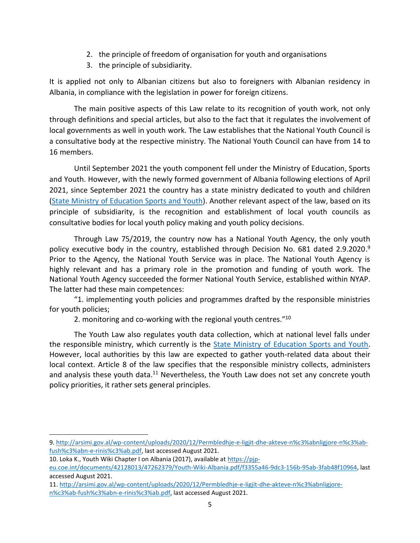- 2. the principle of freedom of organisation for youth and organisations
- 3. the principle of subsidiarity.

It is applied not only to Albanian citizens but also to foreigners with Albanian residency in Albania, in compliance with the legislation in power for foreign citizens.

The main positive aspects of this Law relate to its recognition of youth work, not only through definitions and special articles, but also to the fact that it regulates the involvement of local governments as well in youth work. The Law establishes that the National Youth Council is a consultative body at the respective ministry. The National Youth Council can have from 14 to 16 members.

Until September 2021 the youth component fell under the Ministry of Education, Sports and Youth. However, with the newly formed government of Albania following elections of April 2021, since September 2021 the country has a state ministry dedicated to youth and children (State Ministry [of Education Sports and Youth\)](https://kryeministria.al/en/ministrat/bora-muzhaqi/). Another relevant aspect of the law, based on its principle of subsidiarity, is the recognition and establishment of local youth councils as consultative bodies for local youth policy making and youth policy decisions.

Through Law 75/2019, the country now has a National Youth Agency, the only youth policy executive body in the country, established through Decision No. 681 dated 2.9.2020. 9 Prior to the Agency, the National Youth Service was in place. The National Youth Agency is highly relevant and has a primary role in the promotion and funding of youth work. The National Youth Agency succeeded the former National Youth Service, established within NYAP. The latter had these main competences:

"1. implementing youth policies and programmes drafted by the responsible ministries for youth policies;

2. monitoring and co-working with the regional youth centres."<sup>10</sup>

The Youth Law also regulates youth data collection, which at national level falls under the responsible ministry, which currently is the **State Ministry of Education Sports and Youth**. However, local authorities by this law are expected to gather youth-related data about their local context. Article 8 of the law specifies that the responsible ministry collects, administers and analysis these youth data.<sup>11</sup> Nevertheless, the Youth Law does not set any concrete youth policy priorities, it rather sets general principles.

<sup>9.</sup> [http://arsimi.gov.al/wp-content/uploads/2020/12/Permbledhje-e-ligjit-dhe-akteve-n%c3%abnligjore-n%c3%ab](http://arsimi.gov.al/wp-content/uploads/2020/12/Permbledhje-e-ligjit-dhe-akteve-n%c3%abnligjore-n%c3%ab-fush%c3%abn-e-rinis%c3%ab.pdf)[fush%c3%abn-e-rinis%c3%ab.pdf,](http://arsimi.gov.al/wp-content/uploads/2020/12/Permbledhje-e-ligjit-dhe-akteve-n%c3%abnligjore-n%c3%ab-fush%c3%abn-e-rinis%c3%ab.pdf) last accessed August 2021.

<sup>10.</sup> Loka K., Youth Wiki Chapter I on Albania (2017), available at [https://pjp-](https://pjp-eu.coe.int/documents/42128013/47262379/Youth-Wiki-Albania.pdf/f3355a46-9dc3-156b-95ab-3fab48f10964)

[eu.coe.int/documents/42128013/47262379/Youth-Wiki-Albania.pdf/f3355a46-9dc3-156b-95ab-3fab48f10964,](https://pjp-eu.coe.int/documents/42128013/47262379/Youth-Wiki-Albania.pdf/f3355a46-9dc3-156b-95ab-3fab48f10964) last accessed August 2021.

<sup>11.</sup> [http://arsimi.gov.al/wp-content/uploads/2020/12/Permbledhje-e-ligjit-dhe-akteve-n%c3%abnligjore](http://arsimi.gov.al/wp-content/uploads/2020/12/Permbledhje-e-ligjit-dhe-akteve-n%c3%abnligjore-n%c3%ab-fush%c3%abn-e-rinis%c3%ab.pdf)[n%c3%ab-fush%c3%abn-e-rinis%c3%ab.pdf,](http://arsimi.gov.al/wp-content/uploads/2020/12/Permbledhje-e-ligjit-dhe-akteve-n%c3%abnligjore-n%c3%ab-fush%c3%abn-e-rinis%c3%ab.pdf) last accessed August 2021.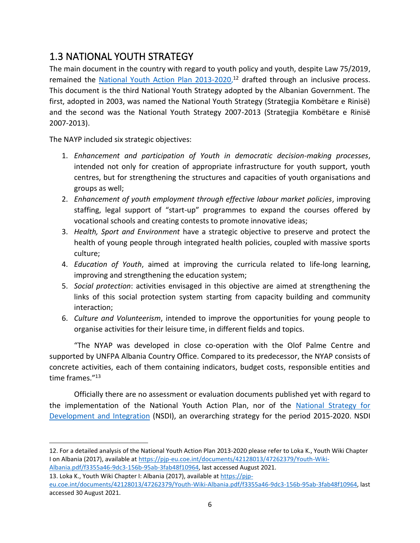#### <span id="page-5-0"></span>1.3 NATIONAL YOUTH STRATEGY

The main document in the country with regard to youth policy and youth, despite Law 75/2019, remained the [National Youth Action Plan 2013-2020,](https://albania.un.org/en/46612-national-youth-action-plan-2015-2020)<sup>12</sup> drafted through an inclusive process. This document is the third National Youth Strategy adopted by the Albanian Government. The first, adopted in 2003, was named the National Youth Strategy (Strategjia Kombëtare e Rinisë) and the second was the National Youth Strategy 2007-2013 (Strategjia Kombëtare e Rinisë 2007-2013).

The NAYP included six strategic objectives:

- 1. *Enhancement and participation of Youth in democratic decision-making processes*, intended not only for creation of appropriate infrastructure for youth support, youth centres, but for strengthening the structures and capacities of youth organisations and groups as well;
- 2. *Enhancement of youth employment through effective labour market policies*, improving staffing, legal support of "start-up" programmes to expand the courses offered by vocational schools and creating contests to promote innovative ideas;
- 3. *Health, Sport and Environment* have a strategic objective to preserve and protect the health of young people through integrated health policies, coupled with massive sports culture;
- 4. *Education of Youth*, aimed at improving the curricula related to life-long learning, improving and strengthening the education system;
- 5. *Social protection*: activities envisaged in this objective are aimed at strengthening the links of this social protection system starting from capacity building and community interaction;
- 6. *Culture and Volunteerism*, intended to improve the opportunities for young people to organise activities for their leisure time, in different fields and topics.

"The NYAP was developed in close co-operation with the Olof Palme Centre and supported by UNFPA Albania Country Office. Compared to its predecessor, the NYAP consists of concrete activities, each of them containing indicators, budget costs, responsible entities and time frames." 13

Officially there are no assessment or evaluation documents published yet with regard to the implementation of the National Youth Action Plan, nor of the [National Strategy for](http://arsimi.gov.al/wp-content/uploads/2017/09/SKZHI_draft_per_konsultim_Tematik-_Investimi_ne_kapitalin_njerzor.pdf)  Development [and Integration](http://arsimi.gov.al/wp-content/uploads/2017/09/SKZHI_draft_per_konsultim_Tematik-_Investimi_ne_kapitalin_njerzor.pdf) (NSDI), an overarching strategy for the period 2015-2020. NSDI

12. For a detailed analysis of the National Youth Action Plan 2013-2020 please refer to Loka K., Youth Wiki Chapter I on Albania (2017), available at [https://pjp-eu.coe.int/documents/42128013/47262379/Youth-Wiki-](https://pjp-eu.coe.int/documents/42128013/47262379/Youth-Wiki-Albania.pdf/f3355a46-9dc3-156b-95ab-3fab48f10964)[Albania.pdf/f3355a46-9dc3-156b-95ab-3fab48f10964,](https://pjp-eu.coe.int/documents/42128013/47262379/Youth-Wiki-Albania.pdf/f3355a46-9dc3-156b-95ab-3fab48f10964) last accessed August 2021.

13. Loka K., Youth Wiki Chapter I: Albania (2017), available a[t https://pjp](https://pjp-eu.coe.int/documents/42128013/47262379/Youth-Wiki-Albania.pdf/f3355a46-9dc3-156b-95ab-3fab48f10964)[eu.coe.int/documents/42128013/47262379/Youth-Wiki-Albania.pdf/f3355a46-9dc3-156b-95ab-3fab48f10964,](https://pjp-eu.coe.int/documents/42128013/47262379/Youth-Wiki-Albania.pdf/f3355a46-9dc3-156b-95ab-3fab48f10964) last accessed 30 August 2021.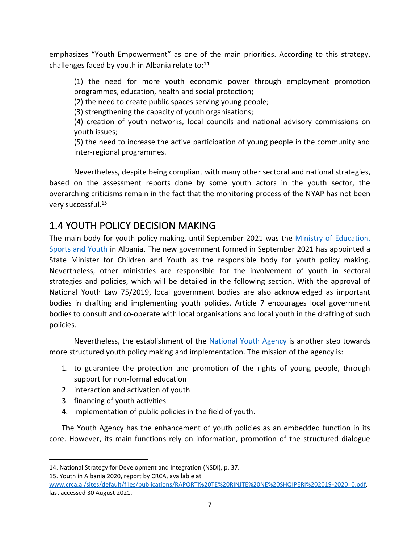emphasizes "Youth Empowerment" as one of the main priorities. According to this strategy, challenges faced by youth in Albania relate to: $14$ 

(1) the need for more youth economic power through employment promotion programmes, education, health and social protection;

(2) the need to create public spaces serving young people;

(3) strengthening the capacity of youth organisations;

(4) creation of youth networks, local councils and national advisory commissions on youth issues;

(5) the need to increase the active participation of young people in the community and inter-regional programmes.

Nevertheless, despite being compliant with many other sectoral and national strategies, based on the assessment reports done by some youth actors in the youth sector, the overarching criticisms remain in the fact that the monitoring process of the NYAP has not been very successful.<sup>15</sup>

#### <span id="page-6-0"></span>1.4 YOUTH POLICY DECISION MAKING

The main body for youth policy making, until September 2021 was the [Ministry of Education,](http://arsimi.gov.al/legjislacioni-2/)  [Sports and Youth](http://arsimi.gov.al/legjislacioni-2/) in Albania. The new government formed in September 2021 has appointed a State Minister for Children and Youth as the responsible body for youth policy making. Nevertheless, other ministries are responsible for the involvement of youth in sectoral strategies and policies, which will be detailed in the following section. With the approval of National Youth Law 75/2019, local government bodies are also acknowledged as important bodies in drafting and implementing youth policies. Article 7 encourages local government bodies to consult and co-operate with local organisations and local youth in the drafting of such policies.

Nevertheless, the establishment of the [National Youth Agency](http://rinia.gov.al/funksionet-tona/) is another step towards more structured youth policy making and implementation. The mission of the agency is:

- 1. to guarantee the protection and promotion of the rights of young people, through support for non-formal education
- 2. interaction and activation of youth
- 3. financing of youth activities
- 4. implementation of public policies in the field of youth.

The Youth Agency has the enhancement of youth policies as an embedded function in its core. However, its main functions rely on information, promotion of the structured dialogue

15. Youth in Albania 2020, report by CRCA, available at

<sup>14.</sup> [National Strategy for Development and Integration](http://arsimi.gov.al/wp-content/uploads/2017/09/SKZHI_draft_per_konsultim_Tematik-_Investimi_ne_kapitalin_njerzor.pdf) (NSDI), p. 37.

[www.crca.al/sites/default/files/publications/RAPORTI%20TE%20RINJTE%20NE%20SHQIPERI%202019-2020\\_0.pdf,](http://www.crca.al/sites/default/files/publications/RAPORTI%20TE%20RINJTE%20NE%20SHQIPERI%202019-2020_0.pdf) last accessed 30 August 2021.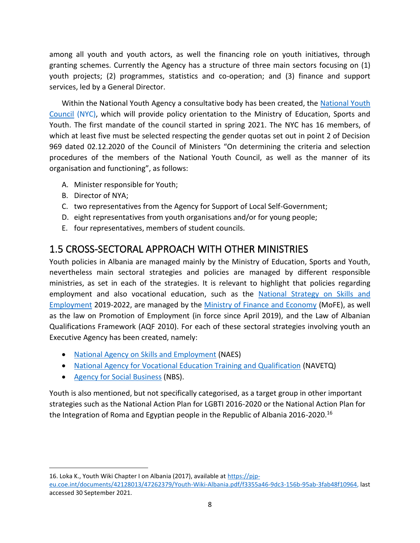among all youth and youth actors, as well the financing role on youth initiatives, through granting schemes. Currently the Agency has a structure of three main sectors focusing on (1) youth projects; (2) programmes, statistics and co-operation; and (3) finance and support services, led by a General Director.

Within the National Youth Agency a consultative body has been created, the [National Youth](http://rinia.gov.al/keshilli-kombetar-rinor/)  [Council](http://rinia.gov.al/keshilli-kombetar-rinor/) (NYC), which will provide policy orientation to the Ministry of Education, Sports and Youth. The first mandate of the council started in spring 2021. The NYC has 16 members, of which at least five must be selected respecting the gender quotas set out in point 2 of Decision 969 dated 02.12.2020 of the Council of Ministers "On determining the criteria and selection procedures of the members of the National Youth Council, as well as the manner of its organisation and functioning", as follows:

- A. Minister responsible for Youth;
- B. Director of NYA;
- C. two representatives from the Agency for Support of Local Self-Government;
- D. eight representatives from youth organisations and/or for young people;
- E. four representatives, members of student councils.

#### <span id="page-7-0"></span>1.5 CROSS-SECTORAL APPROACH WITH OTHER MINISTRIES

Youth policies in Albania are managed mainly by the Ministry of Education, Sports and Youth, nevertheless main sectoral strategies and policies are managed by different responsible ministries, as set in each of the strategies. It is relevant to highlight that policies regarding employment and also vocational education, such as the [National Strategy on Skills and](https://www.financa.gov.al/wp-content/uploads/2020/10/Publikim_EN_Strategjia-Komb%C3%ABtare-p%C3%ABr-Pun%C3%ABsim-dhe-Aft%C3%ABsi-2019-2022.pdf)  [Employment](https://www.financa.gov.al/wp-content/uploads/2020/10/Publikim_EN_Strategjia-Komb%C3%ABtare-p%C3%ABr-Pun%C3%ABsim-dhe-Aft%C3%ABsi-2019-2022.pdf) 2019-2022, are managed by the [Ministry of Finance and Economy](http://www.financa.gov.al/) (MoFE), as well as the law on Promotion of Employment (in force since April 2019), and the Law of Albanian Qualifications Framework (AQF 2010). For each of these sectoral strategies involving youth an Executive Agency has been created, namely:

- [National Agency on Skills and Employment](http://www.shkp.gov.al/) (NAES)
- [National Agency for Vocational Education Training and Qualification](https://epale.ec.europa.eu/sq/nss/national-support-services-albania) (NAVETQ)
- [Agency for Social Business](http://nbs.org.al/) (NBS).

Youth is also mentioned, but not specifically categorised, as a target group in other important strategies such as the National Action Plan for LGBTI 2016-2020 or the National Action Plan for the Integration of Roma and Egyptian people in the Republic of Albania 2016-2020.<sup>16</sup>

16. Loka K., Youth Wiki Chapter I on Albania (2017), available at [https://pjp](https://pjp-eu.coe.int/documents/42128013/47262379/Youth-Wiki-Albania.pdf/f3355a46-9dc3-156b-95ab-3fab48f10964)[eu.coe.int/documents/42128013/47262379/Youth-Wiki-Albania.pdf/f3355a46-9dc3-156b-95ab-3fab48f10964,](https://pjp-eu.coe.int/documents/42128013/47262379/Youth-Wiki-Albania.pdf/f3355a46-9dc3-156b-95ab-3fab48f10964) last accessed 30 September 2021.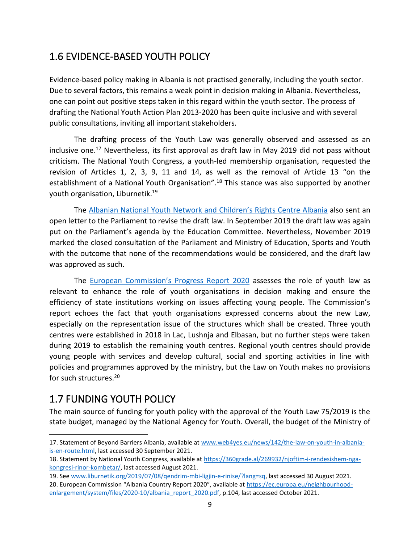#### <span id="page-8-0"></span>1.6 EVIDENCE-BASED YOUTH POLICY

Evidence-based policy making in Albania is not practised generally, including the youth sector. Due to several factors, this remains a weak point in decision making in Albania. Nevertheless, one can point out positive steps taken in this regard within the youth sector. The process of drafting the National Youth Action Plan 2013-2020 has been quite inclusive and with several public consultations, inviting all important stakeholders.

The drafting process of the Youth Law was generally observed and assessed as an inclusive one.<sup>17</sup> Nevertheless, its first approval as draft law in May 2019 did not pass without criticism. The National Youth Congress, a youth-led membership organisation, requested the revision of Articles 1, 2, 3, 9, 11 and 14, as well as the removal of Article 13 "on the establishment of a National Youth Organisation".<sup>18</sup> This stance was also supported by another youth organisation, Liburnetik. 19

The [Albanian National Youth Network and Children's Right](https://www.crca.al/sq/news/projekt-ligji-i-rinise-i-propozuar-nga-qeveria-shkel-te-drejtat-e-te-rinjve-ne-shqiperi)s Centre Albania also sent an open letter to the Parliament to revise the draft law. In September 2019 the draft law was again put on the Parliament's agenda by the Education Committee. Nevertheless, November 2019 marked the closed consultation of the Parliament and Ministry of Education, Sports and Youth with the outcome that none of the recommendations would be considered, and the draft law was approved as such.

The [European Commission's Progress Report 2020](https://ec.europa.eu/neighbourhood-enlargement/system/files/2020-10/albania_report_2020.pdf) assesses the role of youth law as relevant to enhance the role of youth organisations in decision making and ensure the efficiency of state institutions working on issues affecting young people. The Commission's report echoes the fact that youth organisations expressed concerns about the new Law, especially on the representation issue of the structures which shall be created. Three youth centres were established in 2018 in Lac, Lushnja and Elbasan, but no further steps were taken during 2019 to establish the remaining youth centres. Regional youth centres should provide young people with services and develop cultural, social and sporting activities in line with policies and programmes approved by the ministry, but the Law on Youth makes no provisions for such structures.<sup>20</sup>

#### <span id="page-8-1"></span>1.7 FUNDING YOUTH POLICY

The main source of funding for youth policy with the approval of the Youth Law 75/2019 is the state budget, managed by the National Agency for Youth. Overall, the budget of the Ministry of

- 19. Se[e www.liburnetik.org/2019/07/08/qendrim-mbi-ligjin-e-rinise/?lang=sq,](http://www.liburnetik.org/2019/07/08/qendrim-mbi-ligjin-e-rinise/?lang=sq) last accessed 30 August 2021.
- 20. European Commission "Albania Country Report 2020", available at [https://ec.europa.eu/neighbourhood](https://ec.europa.eu/neighbourhood-enlargement/system/files/2020-10/albania_report_2020.pdf)[enlargement/system/files/2020-10/albania\\_report\\_2020.pdf,](https://ec.europa.eu/neighbourhood-enlargement/system/files/2020-10/albania_report_2020.pdf) p.104, last accessed October 2021.

<sup>17.</sup> Statement of Beyond Barriers Albania, available at [www.web4yes.eu/news/142/the-law-on-youth-in-albania](http://www.web4yes.eu/news/142/the-law-on-youth-in-albania-is-en-route.html)[is-en-route.html,](http://www.web4yes.eu/news/142/the-law-on-youth-in-albania-is-en-route.html) last accessed 30 September 2021.

<sup>18.</sup> Statement by National Youth Congress, available at [https://360grade.al/269932/njoftim-i-rendesishem-nga](https://360grade.al/269932/njoftim-i-rendesishem-nga-kongresi-rinor-kombetar/)[kongresi-rinor-kombetar/,](https://360grade.al/269932/njoftim-i-rendesishem-nga-kongresi-rinor-kombetar/) last accessed August 2021.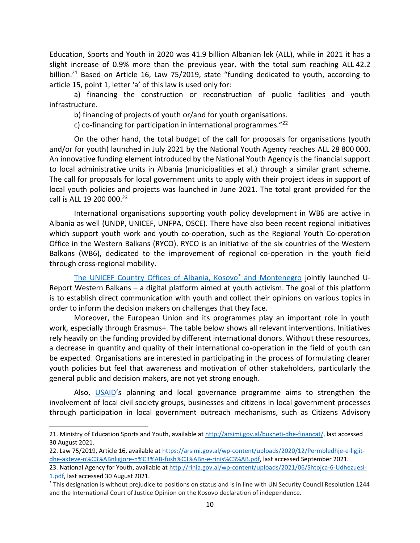Education, Sports and Youth in 2020 was 41.9 billion Albanian lek (ALL), while in 2021 it has a slight increase of 0.9% more than the previous year, with the total sum reaching ALL 42.2 billion.<sup>21</sup> Based on Article 16, Law 75/2019, state "funding dedicated to youth, according to article 15, point 1, letter 'a' of this law is used only for:

a) financing the construction or reconstruction of public facilities and youth infrastructure.

b) financing of projects of youth or/and for youth organisations.

c) co-financing for participation in international programmes."<sup>22</sup>

On the other hand, the total budget of the call for proposals for organisations (youth and/or for youth) launched in July 2021 by the National Youth Agency reaches ALL 28 800 000. An innovative funding element introduced by the National Youth Agency is the financial support to local administrative units in Albania (municipalities et al.) through a similar grant scheme. The call for proposals for local government units to apply with their project ideas in support of local youth policies and projects was launched in June 2021. The total grant provided for the call is ALL 19 200 000. 23

International organisations supporting youth policy development in WB6 are active in Albania as well (UNDP, UNICEF, UNFPA, OSCE). There have also been recent regional initiatives which support youth work and youth co-operation, such as the Regional Youth Co-operation Office in the Western Balkans (RYCO). RYCO is an initiative of the six countries of the Western Balkans (WB6), dedicated to the improvement of regional co-operation in the youth field through cross-regional mobility.

[The UNICEF Country Offices of Albania, Kosovo](https://www.unicef.org/innovation/U-Report)<sup>\*</sup> and Montenegro jointly launched U-Report Western Balkans – a digital platform aimed at youth activism. The goal of this platform is to establish direct communication with youth and collect their opinions on various topics in order to inform the decision makers on challenges that they face.

Moreover, the European Union and its programmes play an important role in youth work, especially through Erasmus+. The table below shows all relevant interventions. Initiatives rely heavily on the funding provided by different international donors. Without these resources, a decrease in quantity and quality of their international co-operation in the field of youth can be expected. Organisations are interested in participating in the process of formulating clearer youth policies but feel that awareness and motivation of other stakeholders, particularly the general public and decision makers, are not yet strong enough.

Also, [USAID](https://www.usaid.gov/albania/news-information/fact-sheets/fact-sheet-youth)'s planning and local governance programme aims to strengthen the involvement of local civil society groups, businesses and citizens in local government processes through participation in local government outreach mechanisms, such as Citizens Advisory

<sup>21.</sup> Ministry of Education Sports and Youth, available at [http://arsimi.gov.al/buxheti-dhe-financat/,](http://arsimi.gov.al/buxheti-dhe-financat/) last accessed 30 August 2021.

<sup>22.</sup> Law 75/2019, Article 16, available a[t https://arsimi.gov.al/wp-content/uploads/2020/12/Permbledhje-e-ligjit](https://arsimi.gov.al/wp-content/uploads/2020/12/Permbledhje-e-ligjit-dhe-akteve-n%C3%ABnligjore-n%C3%AB-fush%C3%ABn-e-rinis%C3%AB.pdf)[dhe-akteve-n%C3%ABnligjore-n%C3%AB-fush%C3%ABn-e-rinis%C3%AB.pdf,](https://arsimi.gov.al/wp-content/uploads/2020/12/Permbledhje-e-ligjit-dhe-akteve-n%C3%ABnligjore-n%C3%AB-fush%C3%ABn-e-rinis%C3%AB.pdf) last accessed September 2021.

<sup>23.</sup> National Agency for Youth, available at [http://rinia.gov.al/wp-content/uploads/2021/06/Shtojca-6-Udhezuesi-](http://rinia.gov.al/wp-content/uploads/2021/06/Shtojca-6-Udhezuesi-1.pdf)[1.pdf,](http://rinia.gov.al/wp-content/uploads/2021/06/Shtojca-6-Udhezuesi-1.pdf) last accessed 30 August 2021.

<sup>\*</sup> This designation is without prejudice to positions on status and is in line with UN Security Council Resolution 1244 and the International Court of Justice Opinion on the Kosovo declaration of independence.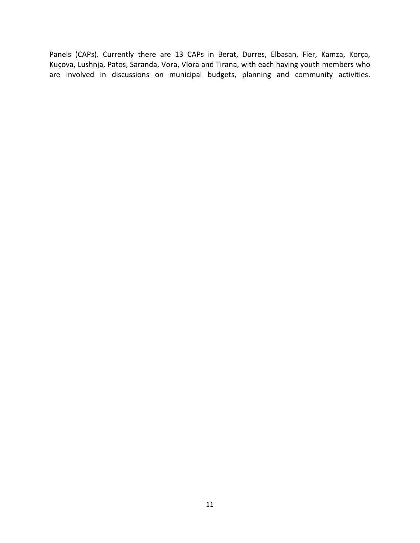Panels (CAPs). Currently there are 13 CAPs in Berat, Durres, Elbasan, Fier, Kamza, Korça, Kuçova, Lushnja, Patos, Saranda, Vora, Vlora and Tirana, with each having youth members who are involved in discussions on municipal budgets, planning and community activities.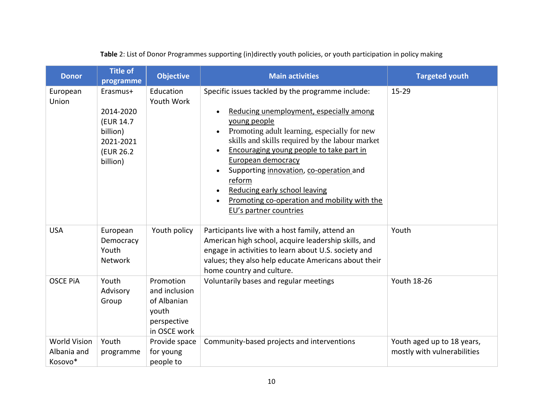|  |  | Table 2: List of Donor Programmes supporting (in)directly youth policies, or youth participation in policy making |
|--|--|-------------------------------------------------------------------------------------------------------------------|
|--|--|-------------------------------------------------------------------------------------------------------------------|

<span id="page-11-0"></span>

| <b>Donor</b>                                  | <b>Title of</b><br>programme                                                           | <b>Objective</b>                                                                  | <b>Main activities</b>                                                                                                                                                                                                                                                                                                                                                                                                                                                                                                          | <b>Targeted youth</b>                                     |
|-----------------------------------------------|----------------------------------------------------------------------------------------|-----------------------------------------------------------------------------------|---------------------------------------------------------------------------------------------------------------------------------------------------------------------------------------------------------------------------------------------------------------------------------------------------------------------------------------------------------------------------------------------------------------------------------------------------------------------------------------------------------------------------------|-----------------------------------------------------------|
| European<br>Union                             | Erasmus+<br>2014-2020<br>(EUR 14.7)<br>billion)<br>2021-2021<br>(EUR 26.2)<br>billion) | Education<br>Youth Work                                                           | Specific issues tackled by the programme include:<br>Reducing unemployment, especially among<br>$\bullet$<br>young people<br>Promoting adult learning, especially for new<br>$\bullet$<br>skills and skills required by the labour market<br>Encouraging young people to take part in<br>$\bullet$<br>European democracy<br>Supporting innovation, co-operation and<br>$\bullet$<br>reform<br>Reducing early school leaving<br>$\bullet$<br>Promoting co-operation and mobility with the<br>$\bullet$<br>EU's partner countries | $15 - 29$                                                 |
| <b>USA</b>                                    | European<br>Democracy<br>Youth<br>Network                                              | Youth policy                                                                      | Participants live with a host family, attend an<br>American high school, acquire leadership skills, and<br>engage in activities to learn about U.S. society and<br>values; they also help educate Americans about their<br>home country and culture.                                                                                                                                                                                                                                                                            | Youth                                                     |
| <b>OSCE PIA</b>                               | Youth<br>Advisory<br>Group                                                             | Promotion<br>and inclusion<br>of Albanian<br>youth<br>perspective<br>in OSCE work | Voluntarily bases and regular meetings                                                                                                                                                                                                                                                                                                                                                                                                                                                                                          | <b>Youth 18-26</b>                                        |
| <b>World Vision</b><br>Albania and<br>Kosovo* | Youth<br>programme                                                                     | Provide space<br>for young<br>people to                                           | Community-based projects and interventions                                                                                                                                                                                                                                                                                                                                                                                                                                                                                      | Youth aged up to 18 years,<br>mostly with vulnerabilities |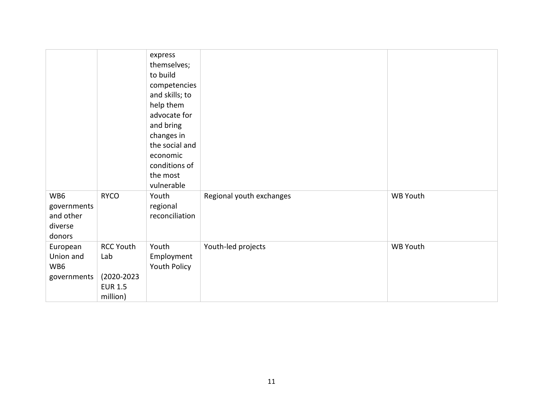|                                                      |                                                                      | express<br>themselves;<br>to build<br>competencies<br>and skills; to<br>help them<br>advocate for<br>and bring<br>changes in<br>the social and<br>economic<br>conditions of<br>the most<br>vulnerable |                          |          |
|------------------------------------------------------|----------------------------------------------------------------------|-------------------------------------------------------------------------------------------------------------------------------------------------------------------------------------------------------|--------------------------|----------|
| WB6<br>governments<br>and other<br>diverse<br>donors | <b>RYCO</b>                                                          | Youth<br>regional<br>reconciliation                                                                                                                                                                   | Regional youth exchanges | WB Youth |
| European<br>Union and<br>WB6<br>governments          | <b>RCC Youth</b><br>Lab<br>(2020-2023)<br><b>EUR 1.5</b><br>million) | Youth<br>Employment<br>Youth Policy                                                                                                                                                                   | Youth-led projects       | WB Youth |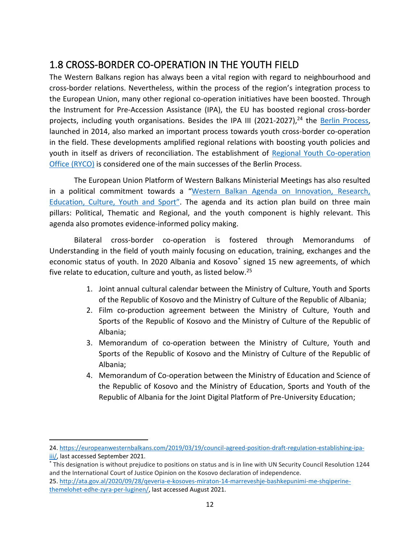## <span id="page-13-0"></span>1.8 CROSS-BORDER CO-OPERATION IN THE YOUTH FIELD

The Western Balkans region has always been a vital region with regard to neighbourhood and cross-border relations. Nevertheless, within the process of the region's integration process to the European Union, many other regional co-operation initiatives have been boosted. Through the Instrument for Pre-Accession Assistance (IPA), the EU has boosted regional cross-border projects, including youth organisations. Besides the IPA III (2021-2027),<sup>24</sup> the **Berlin Process**, launched in 2014, also marked an important process towards youth cross-border co-operation in the field. These developments amplified regional relations with boosting youth policies and youth in itself as drivers of reconciliation. The establishment of [Regional Youth Co-operation](https://www.rycowb.org/?p=4122)  [Office \(RYCO\)](https://www.rycowb.org/?p=4122) is considered one of the main successes of the Berlin Process.

The European Union Platform of Western Balkans Ministerial Meetings has also resulted in a political commitment towards a "[Western Balkan Agenda on Innovation, Research,](https://wb-ministerial.tw.events/docs/WesternBalkansAgenda_Factsheet_May2021.pdf)  [Education, Culture, Youth and](https://wb-ministerial.tw.events/docs/WesternBalkansAgenda_Factsheet_May2021.pdf) Sport". The agenda and its action plan build on three main pillars: Political, Thematic and Regional, and the youth component is highly relevant. This agenda also promotes evidence-informed policy making.

Bilateral cross-border co-operation is fostered through Memorandums of Understanding in the field of youth mainly focusing on education, training, exchanges and the economic status of youth. In 2020 Albania and Kosovo<sup>\*</sup> signed 15 new agreements, of which five relate to education, culture and youth, as listed below.<sup>25</sup>

- 1. Joint annual cultural calendar between the Ministry of Culture, Youth and Sports of the Republic of Kosovo and the Ministry of Culture of the Republic of Albania;
- 2. Film co-production agreement between the Ministry of Culture, Youth and Sports of the Republic of Kosovo and the Ministry of Culture of the Republic of Albania;
- 3. Memorandum of co-operation between the Ministry of Culture, Youth and Sports of the Republic of Kosovo and the Ministry of Culture of the Republic of Albania;
- 4. Memorandum of Co-operation between the Ministry of Education and Science of the Republic of Kosovo and the Ministry of Education, Sports and Youth of the Republic of Albania for the Joint Digital Platform of Pre-University Education;

<sup>24.</sup> [https://europeanwesternbalkans.com/2019/03/19/council-agreed-position-draft-regulation-establishing-ipa](https://europeanwesternbalkans.com/2019/03/19/council-agreed-position-draft-regulation-establishing-ipa-iii/)[iii/,](https://europeanwesternbalkans.com/2019/03/19/council-agreed-position-draft-regulation-establishing-ipa-iii/) last accessed September 2021.

<sup>\*</sup> This designation is without prejudice to positions on status and is in line with UN Security Council Resolution 1244 and the International Court of Justice Opinion on the Kosovo declaration of independence.

<sup>25.</sup> [http://ata.gov.al/2020/09/28/qeveria-e-kosoves-miraton-14-marreveshje-bashkepunimi-me-shqiperine](http://ata.gov.al/2020/09/28/qeveria-e-kosoves-miraton-14-marreveshje-bashkepunimi-me-shqiperine-themelohet-edhe-zyra-per-luginen/)[themelohet-edhe-zyra-per-luginen/,](http://ata.gov.al/2020/09/28/qeveria-e-kosoves-miraton-14-marreveshje-bashkepunimi-me-shqiperine-themelohet-edhe-zyra-per-luginen/) last accessed August 2021.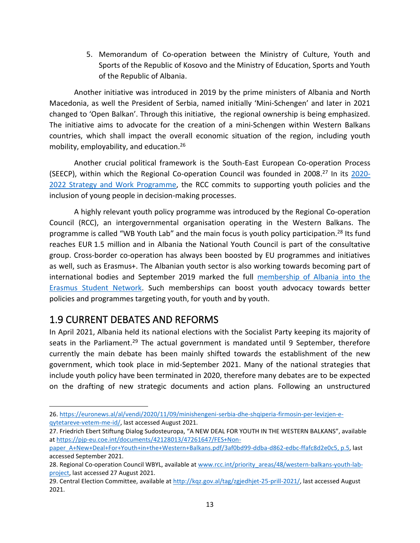5. Memorandum of Co-operation between the Ministry of Culture, Youth and Sports of the Republic of Kosovo and the Ministry of Education, Sports and Youth of the Republic of Albania.

Another initiative was introduced in 2019 by the prime ministers of Albania and North Macedonia, as well the President of Serbia, named initially 'Mini-Schengen' and later in 2021 changed to 'Open Balkan'. Through this initiative, the regional ownership is being emphasized. The initiative aims to advocate for the creation of a mini-Schengen within Western Balkans countries, which shall impact the overall economic situation of the region, including youth mobility, employability, and education.<sup>26</sup>

Another crucial political framework is the South-East European Co-operation Process (SEECP), within which the Regional Co-operation Council was founded in 2008.<sup>27</sup> In its [2020-](https://www.rcc.int/admin/files/docs/reports/RCC-Strategy-and-Work-Programme-2020-22-rich.pdf) [2022 Strategy and Work Programm](https://www.rcc.int/admin/files/docs/reports/RCC-Strategy-and-Work-Programme-2020-22-rich.pdf)e, the RCC commits to supporting youth policies and the inclusion of young people in decision-making processes.

A highly relevant youth policy programme was introduced by the Regional Co-operation Council (RCC), an intergovernmental organisation operating in the Western Balkans. The programme is called "WB Youth Lab" and the main focus is youth policy participation.<sup>28</sup> Its fund reaches EUR 1.5 million and in Albania the National Youth Council is part of the consultative group. Cross-border co-operation has always been boosted by EU programmes and initiatives as well, such as Erasmus+. The Albanian youth sector is also working towards becoming part of international bodies and September 2019 marked the full [membership of Albania into the](https://esn.org/news/albania-joins-erasmus-student-network)  [Erasmus Student Network.](https://esn.org/news/albania-joins-erasmus-student-network) Such memberships can boost youth advocacy towards better policies and programmes targeting youth, for youth and by youth.

#### <span id="page-14-0"></span>1.9 CURRENT DEBATES AND REFORMS

In April 2021, Albania held its national elections with the Socialist Party keeping its majority of seats in the Parliament.<sup>29</sup> The actual government is mandated until 9 September, therefore currently the main debate has been mainly shifted towards the establishment of the new government, which took place in mid-September 2021. Many of the national strategies that include youth policy have been terminated in 2020, therefore many debates are to be expected on the drafting of new strategic documents and action plans. Following an unstructured

<sup>26.</sup> [https://euronews.al/al/vendi/2020/11/09/minishengeni-serbia-dhe-shqiperia-firmosin-per-levizjen-e](https://euronews.al/al/vendi/2020/11/09/minishengeni-serbia-dhe-shqiperia-firmosin-per-levizjen-e-qytetareve-vetem-me-id/)[qytetareve-vetem-me-id/,](https://euronews.al/al/vendi/2020/11/09/minishengeni-serbia-dhe-shqiperia-firmosin-per-levizjen-e-qytetareve-vetem-me-id/) last accessed August 2021.

<sup>27</sup>. Friedrich Ebert Stiftung Dialog Sudosteuropa, "A NEW DEAL FOR YOUTH IN THE WESTERN BALKANS", available a[t https://pjp-eu.coe.int/documents/42128013/47261647/FES+Non-](https://pjp-eu.coe.int/documents/42128013/47261647/FES+Non-paper_A+New+Deal+For+Youth+in+the+Western+Balkans.pdf/3af0bd99-ddba-d862-edbc-ffafc8d2e0c5,%20p.5)

[paper\\_A+New+Deal+For+Youth+in+the+Western+Balkans.pdf/3af0bd99-ddba-d862-edbc-ffafc8d2e0c5,](https://pjp-eu.coe.int/documents/42128013/47261647/FES+Non-paper_A+New+Deal+For+Youth+in+the+Western+Balkans.pdf/3af0bd99-ddba-d862-edbc-ffafc8d2e0c5,%20p.5) p.5, last accessed September 2021.

<sup>28.</sup> Regional Co-operation Council WBYL, available at [www.rcc.int/priority\\_areas/48/western-balkans-youth-lab](http://www.rcc.int/priority_areas/48/western-balkans-youth-lab-project)[project,](http://www.rcc.int/priority_areas/48/western-balkans-youth-lab-project) last accessed 27 August 2021.

<sup>29.</sup> Central Election Committee, available a[t http://kqz.gov.al/tag/zgjedhjet-25-prill-2021/,](http://kqz.gov.al/tag/zgjedhjet-25-prill-2021/) last accessed August 2021.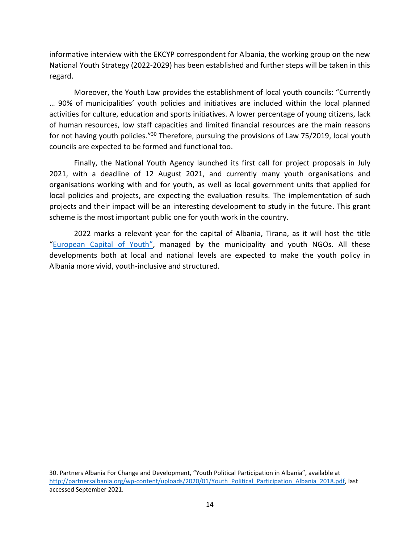informative interview with the EKCYP correspondent for Albania, the working group on the new National Youth Strategy (2022-2029) has been established and further steps will be taken in this regard.

Moreover, the Youth Law provides the establishment of local youth councils: "Currently … 90% of municipalities' youth policies and initiatives are included within the local planned activities for culture, education and sports initiatives. A lower percentage of young citizens, lack of human resources, low staff capacities and limited financial resources are the main reasons for not having youth policies."<sup>30</sup> Therefore, pursuing the provisions of Law 75/2019, local youth councils are expected to be formed and functional too.

Finally, the National Youth Agency launched its first call for project proposals in July 2021, with a deadline of 12 August 2021, and currently many youth organisations and organisations working with and for youth, as well as local government units that applied for local policies and projects, are expecting the evaluation results. The implementation of such projects and their impact will be an interesting development to study in the future. This grant scheme is the most important public one for youth work in the country.

2022 marks a relevant year for the capital of Albania, Tirana, as it will host the title "[European Capital of Youth](https://www.youthforum.org/congratulations-tirana-winner-european-youth-capital-2022)", managed by the municipality and youth NGOs. All these developments both at local and national levels are expected to make the youth policy in Albania more vivid, youth-inclusive and structured.

<sup>30</sup>. Partners Albania For Change and Development, "Youth Political Participation in Albania", available at [http://partnersalbania.org/wp-content/uploads/2020/01/Youth\\_Political\\_Participation\\_Albania\\_2018.pdf,](http://partnersalbania.org/wp-content/uploads/2020/01/Youth_Political_Participation_Albania_2018.pdf) last accessed September 2021.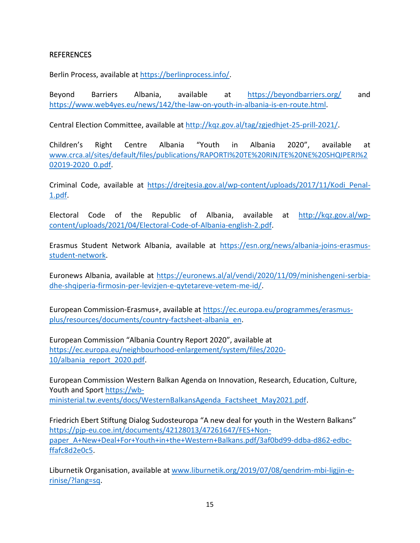#### <span id="page-16-0"></span>**REFERENCES**

Berlin Process, available at [https://berlinprocess.info/.](https://berlinprocess.info/)

Beyond Barriers Albania, available at <https://beyondbarriers.org/> and [https://www.web4yes.eu/news/142/the-law-on-youth-in-albania-is-en-route.html.](https://www.web4yes.eu/news/142/the-law-on-youth-in-albania-is-en-route.html)

Central Election Committee, available at [http://kqz.gov.al/tag/zgjedhjet-25-prill-2021/.](http://kqz.gov.al/tag/zgjedhjet-25-prill-2021/)

Children's Right Centre Albania "Youth in Albania 2020", available at [www.crca.al/sites/default/files/publications/RAPORTI%20TE%20RINJTE%20NE%20SHQIPERI%2](http://www.crca.al/sites/default/files/publications/RAPORTI%20TE%20RINJTE%20NE%20SHQIPERI%202019-2020_0.pdf) [02019-2020\\_0.pdf.](http://www.crca.al/sites/default/files/publications/RAPORTI%20TE%20RINJTE%20NE%20SHQIPERI%202019-2020_0.pdf)

Criminal Code, available at [https://drejtesia.gov.al/wp-content/uploads/2017/11/Kodi\\_Penal-](https://drejtesia.gov.al/wp-content/uploads/2017/11/Kodi_Penal-1.pdf)[1.pdf.](https://drejtesia.gov.al/wp-content/uploads/2017/11/Kodi_Penal-1.pdf)

Electoral Code of the Republic of Albania, available at [http://kqz.gov.al/wp](http://kqz.gov.al/wp-content/uploads/2021/04/Electoral-Code-of-Albania-english-2.pdf)[content/uploads/2021/04/Electoral-Code-of-Albania-english-2.pdf.](http://kqz.gov.al/wp-content/uploads/2021/04/Electoral-Code-of-Albania-english-2.pdf)

Erasmus Student Network Albania, available at [https://esn.org/news/albania-joins-erasmus](https://esn.org/news/albania-joins-erasmus-student-network)[student-network.](https://esn.org/news/albania-joins-erasmus-student-network)

Euronews Albania, available at [https://euronews.al/al/vendi/2020/11/09/minishengeni-serbia](https://euronews.al/al/vendi/2020/11/09/minishengeni-serbia-dhe-shqiperia-firmosin-per-levizjen-e-qytetareve-vetem-me-id/)[dhe-shqiperia-firmosin-per-levizjen-e-qytetareve-vetem-me-id/.](https://euronews.al/al/vendi/2020/11/09/minishengeni-serbia-dhe-shqiperia-firmosin-per-levizjen-e-qytetareve-vetem-me-id/)

European Commission-Erasmus+, available at [https://ec.europa.eu/programmes/erasmus](https://ec.europa.eu/programmes/erasmus-plus/resources/documents/country-factsheet-albania_en)[plus/resources/documents/country-factsheet-albania\\_en.](https://ec.europa.eu/programmes/erasmus-plus/resources/documents/country-factsheet-albania_en)

European Commission "Albania Country Report 2020", available at [https://ec.europa.eu/neighbourhood-enlargement/system/files/2020-](https://ec.europa.eu/neighbourhood-enlargement/system/files/2020-10/albania_report_2020.pdf) [10/albania\\_report\\_2020.pdf.](https://ec.europa.eu/neighbourhood-enlargement/system/files/2020-10/albania_report_2020.pdf)

European Commission [Western Balkan Agenda on Innovation, Research, Education, Culture,](https://wb-ministerial.tw.events/docs/WesternBalkansAgenda_Factsheet_May2021.pdf)  [Youth and](https://wb-ministerial.tw.events/docs/WesternBalkansAgenda_Factsheet_May2021.pdf) Sport [https://wb](https://wb-ministerial.tw.events/docs/WesternBalkansAgenda_Factsheet_May2021.pdf)[ministerial.tw.events/docs/WesternBalkansAgenda\\_Factsheet\\_May2021.pdf.](https://wb-ministerial.tw.events/docs/WesternBalkansAgenda_Factsheet_May2021.pdf)

Friedrich Ebert Stiftung Dialog Sudosteuropa "A new deal for youth in the Western Balkans" [https://pjp-eu.coe.int/documents/42128013/47261647/FES+Non](https://pjp-eu.coe.int/documents/42128013/47261647/FES+Non-paper_A+New+Deal+For+Youth+in+the+Western+Balkans.pdf/3af0bd99-ddba-d862-edbc-ffafc8d2e0c5)[paper\\_A+New+Deal+For+Youth+in+the+Western+Balkans.pdf/3af0bd99-ddba-d862-edbc](https://pjp-eu.coe.int/documents/42128013/47261647/FES+Non-paper_A+New+Deal+For+Youth+in+the+Western+Balkans.pdf/3af0bd99-ddba-d862-edbc-ffafc8d2e0c5)[ffafc8d2e0c5.](https://pjp-eu.coe.int/documents/42128013/47261647/FES+Non-paper_A+New+Deal+For+Youth+in+the+Western+Balkans.pdf/3af0bd99-ddba-d862-edbc-ffafc8d2e0c5)

Liburnetik Organisation, available at [www.liburnetik.org/2019/07/08/qendrim-mbi-ligjin-e](http://www.liburnetik.org/2019/07/08/qendrim-mbi-ligjin-e-rinise/?lang=sq)[rinise/?lang=sq.](http://www.liburnetik.org/2019/07/08/qendrim-mbi-ligjin-e-rinise/?lang=sq)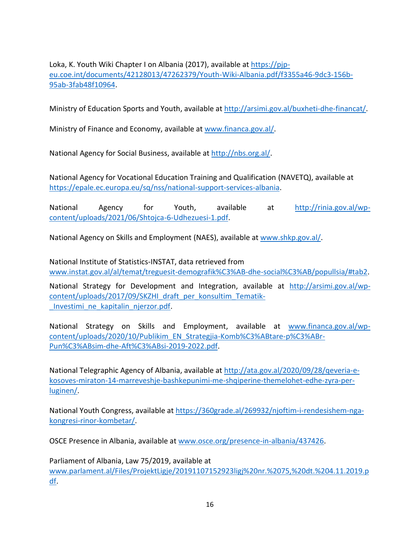Loka, K. Youth Wiki Chapter I on Albania (2017), available at [https://pjp](https://pjp-eu.coe.int/documents/42128013/47262379/Youth-Wiki-Albania.pdf/f3355a46-9dc3-156b-95ab-3fab48f10964)[eu.coe.int/documents/42128013/47262379/Youth-Wiki-Albania.pdf/f3355a46-9dc3-156b-](https://pjp-eu.coe.int/documents/42128013/47262379/Youth-Wiki-Albania.pdf/f3355a46-9dc3-156b-95ab-3fab48f10964)[95ab-3fab48f10964.](https://pjp-eu.coe.int/documents/42128013/47262379/Youth-Wiki-Albania.pdf/f3355a46-9dc3-156b-95ab-3fab48f10964)

Ministry of Education Sports and Youth, available at [http://arsimi.gov.al/buxheti-dhe-financat/.](http://arsimi.gov.al/buxheti-dhe-financat/)

Ministry of Finance and Economy, available at [www.financa.gov.al/.](http://www.financa.gov.al/)

National Agency for Social Business, available at [http://nbs.org.al/.](http://nbs.org.al/)

National Agency for Vocational Education Training and Qualification (NAVETQ), available at [https://epale.ec.europa.eu/sq/nss/national-support-services-albania.](https://epale.ec.europa.eu/sq/nss/national-support-services-albania)

National Agency for Youth, available at [http://rinia.gov.al/wp](http://rinia.gov.al/wp-content/uploads/2021/06/Shtojca-6-Udhezuesi-1.pdf)[content/uploads/2021/06/Shtojca-6-Udhezuesi-1.pdf.](http://rinia.gov.al/wp-content/uploads/2021/06/Shtojca-6-Udhezuesi-1.pdf)

National Agency on Skills and Employment (NAES), available at [www.shkp.gov.al/.](http://www.shkp.gov.al/)

National Institute of Statistics-INSTAT, data retrieved from [www.instat.gov.al/al/temat/treguesit-demografik%C3%AB-dhe-social%C3%AB/popullsia/#tab2.](http://www.instat.gov.al/al/temat/treguesit-demografik%C3%AB-dhe-social%C3%AB/popullsia/#tab2)

National Strategy for Development and Integration, available at [http://arsimi.gov.al/wp](http://arsimi.gov.al/wp-content/uploads/2017/09/SKZHI_draft_per_konsultim_Tematik-_Investimi_ne_kapitalin_njerzor.pdf)[content/uploads/2017/09/SKZHI\\_draft\\_per\\_konsultim\\_Tematik-](http://arsimi.gov.al/wp-content/uploads/2017/09/SKZHI_draft_per_konsultim_Tematik-_Investimi_ne_kapitalin_njerzor.pdf) Investimi ne kapitalin njerzor.pdf.

National Strategy on Skills and Employment, available at [www.financa.gov.al/wp](http://www.financa.gov.al/wp-content/uploads/2020/10/Publikim_EN_Strategjia-Komb%C3%ABtare-p%C3%ABr-Pun%C3%ABsim-dhe-Aft%C3%ABsi-2019-2022.pdf)[content/uploads/2020/10/Publikim\\_EN\\_Strategjia-Komb%C3%ABtare-p%C3%ABr-](http://www.financa.gov.al/wp-content/uploads/2020/10/Publikim_EN_Strategjia-Komb%C3%ABtare-p%C3%ABr-Pun%C3%ABsim-dhe-Aft%C3%ABsi-2019-2022.pdf)[Pun%C3%ABsim-dhe-Aft%C3%ABsi-2019-2022.pdf.](http://www.financa.gov.al/wp-content/uploads/2020/10/Publikim_EN_Strategjia-Komb%C3%ABtare-p%C3%ABr-Pun%C3%ABsim-dhe-Aft%C3%ABsi-2019-2022.pdf)

National Telegraphic Agency of Albania, available at [http://ata.gov.al/2020/09/28/qeveria-e](http://ata.gov.al/2020/09/28/qeveria-e-kosoves-miraton-14-marreveshje-bashkepunimi-me-shqiperine-themelohet-edhe-zyra-per-luginen/)[kosoves-miraton-14-marreveshje-bashkepunimi-me-shqiperine-themelohet-edhe-zyra-per](http://ata.gov.al/2020/09/28/qeveria-e-kosoves-miraton-14-marreveshje-bashkepunimi-me-shqiperine-themelohet-edhe-zyra-per-luginen/)[luginen/.](http://ata.gov.al/2020/09/28/qeveria-e-kosoves-miraton-14-marreveshje-bashkepunimi-me-shqiperine-themelohet-edhe-zyra-per-luginen/)

National Youth Congress, available at [https://360grade.al/269932/njoftim-i-rendesishem-nga](https://360grade.al/269932/njoftim-i-rendesishem-nga-kongresi-rinor-kombetar/)[kongresi-rinor-kombetar/.](https://360grade.al/269932/njoftim-i-rendesishem-nga-kongresi-rinor-kombetar/)

OSCE Presence in Albania, available at [www.osce.org/presence-in-albania/437426.](http://www.osce.org/presence-in-albania/437426)

Parliament of Albania, Law 75/2019, available at [www.parlament.al/Files/ProjektLigje/20191107152923ligj%20nr.%2075,%20dt.%204.11.2019.p](http://www.parlament.al/Files/ProjektLigje/20191107152923ligj%20nr.%2075,%20dt.%204.11.2019.pdf) [df.](http://www.parlament.al/Files/ProjektLigje/20191107152923ligj%20nr.%2075,%20dt.%204.11.2019.pdf)